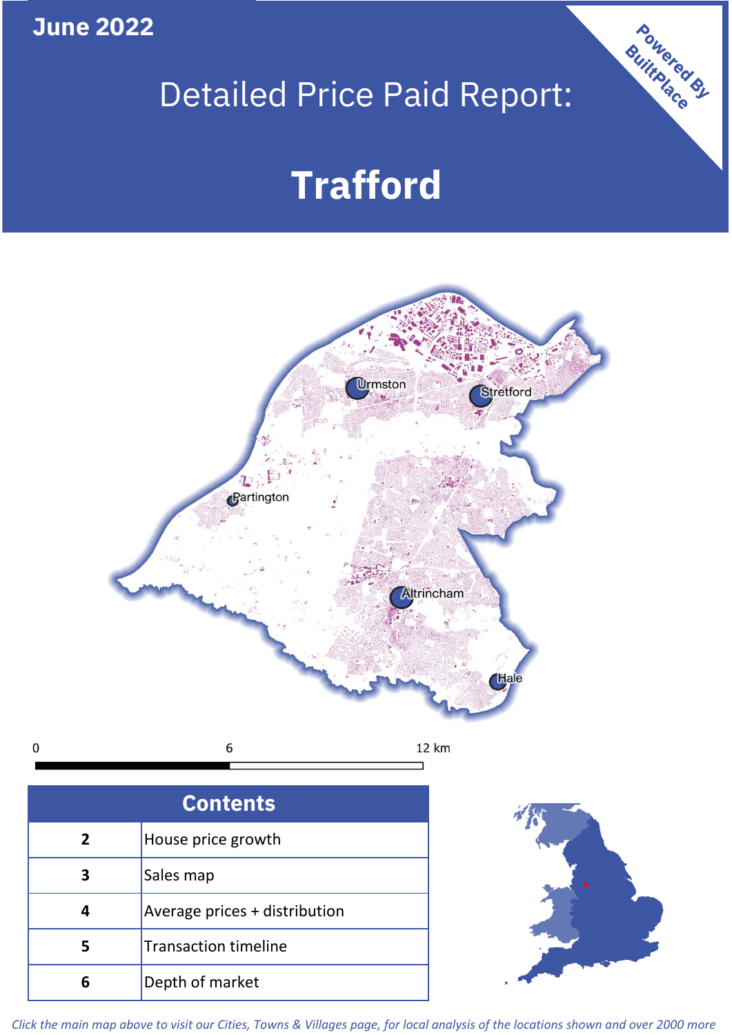**June 2022**

 $\mathbf 0$ 

# Detailed Price Paid Report:

# **Trafford**



| <b>Contents</b> |                               |  |  |
|-----------------|-------------------------------|--|--|
| $\overline{2}$  | House price growth            |  |  |
|                 | Sales map                     |  |  |
| 4               | Average prices + distribution |  |  |
|                 | <b>Transaction timeline</b>   |  |  |
| h               | Depth of market               |  |  |



Powered By

*Click the main map above to visit our Cities, Towns & Villages page, for local analysis of the locations shown and over 2000 more*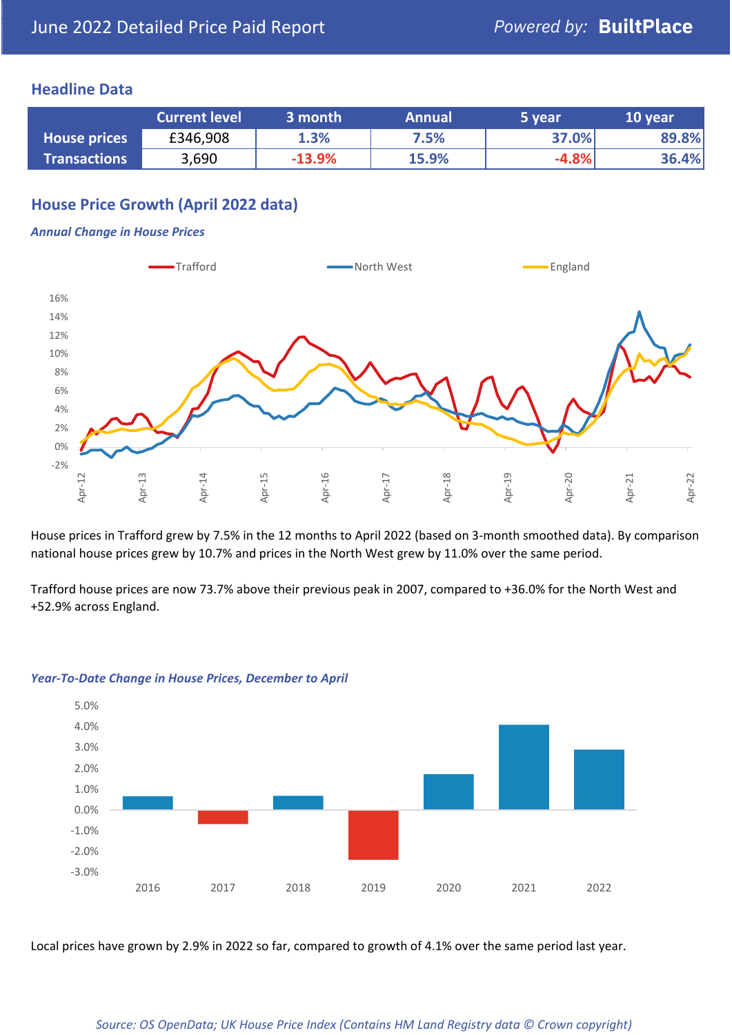### **Headline Data**

|                     | <b>Current level</b> | 3 month  | <b>Annual</b> | 5 year  | 10 year |
|---------------------|----------------------|----------|---------------|---------|---------|
| <b>House prices</b> | £346,908             | 1.3%     | 7.5%          | 37.0%   | 89.8%   |
| <b>Transactions</b> | 3,690                | $-13.9%$ | 15.9%         | $-4.8%$ | 36.4%   |

# **House Price Growth (April 2022 data)**

#### *Annual Change in House Prices*



House prices in Trafford grew by 7.5% in the 12 months to April 2022 (based on 3-month smoothed data). By comparison national house prices grew by 10.7% and prices in the North West grew by 11.0% over the same period.

Trafford house prices are now 73.7% above their previous peak in 2007, compared to +36.0% for the North West and +52.9% across England.



#### *Year-To-Date Change in House Prices, December to April*

Local prices have grown by 2.9% in 2022 so far, compared to growth of 4.1% over the same period last year.

#### *Source: OS OpenData; UK House Price Index (Contains HM Land Registry data © Crown copyright)*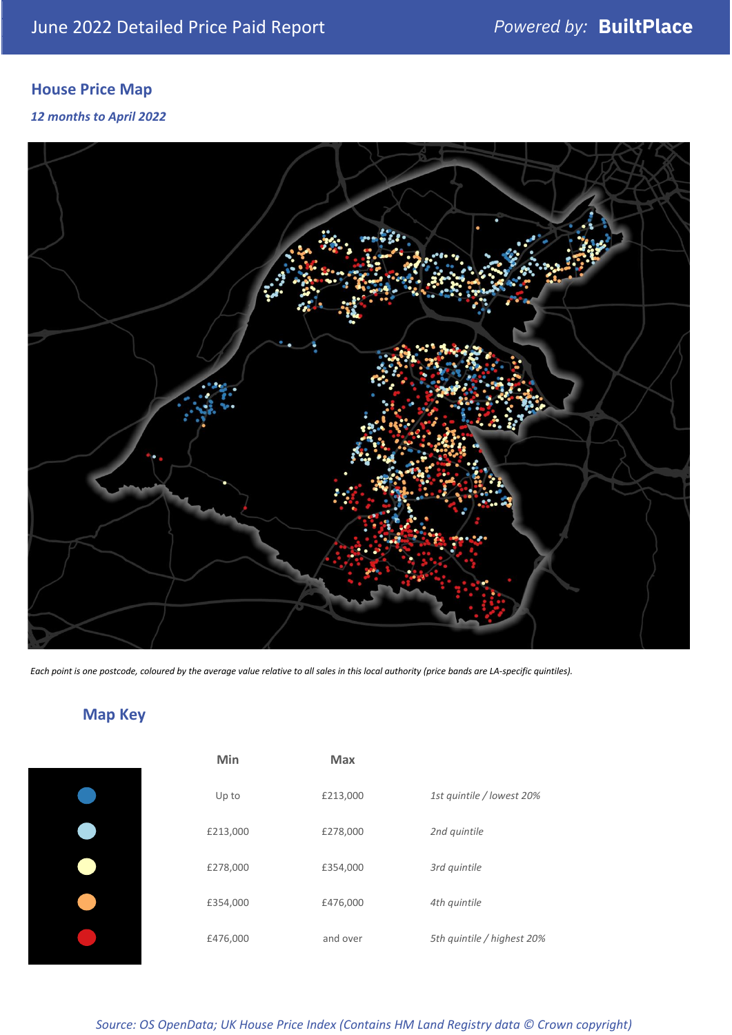# **House Price Map**

#### *12 months to April 2022*



*Each point is one postcode, coloured by the average value relative to all sales in this local authority (price bands are LA-specific quintiles).*

# **Map Key**

| Min      | <b>Max</b> |                            |
|----------|------------|----------------------------|
| Up to    | £213,000   | 1st quintile / lowest 20%  |
| £213,000 | £278,000   | 2nd quintile               |
| £278,000 | £354,000   | 3rd quintile               |
| £354,000 | £476,000   | 4th quintile               |
| £476,000 | and over   | 5th quintile / highest 20% |

## *Source: OS OpenData; UK House Price Index (Contains HM Land Registry data © Crown copyright)*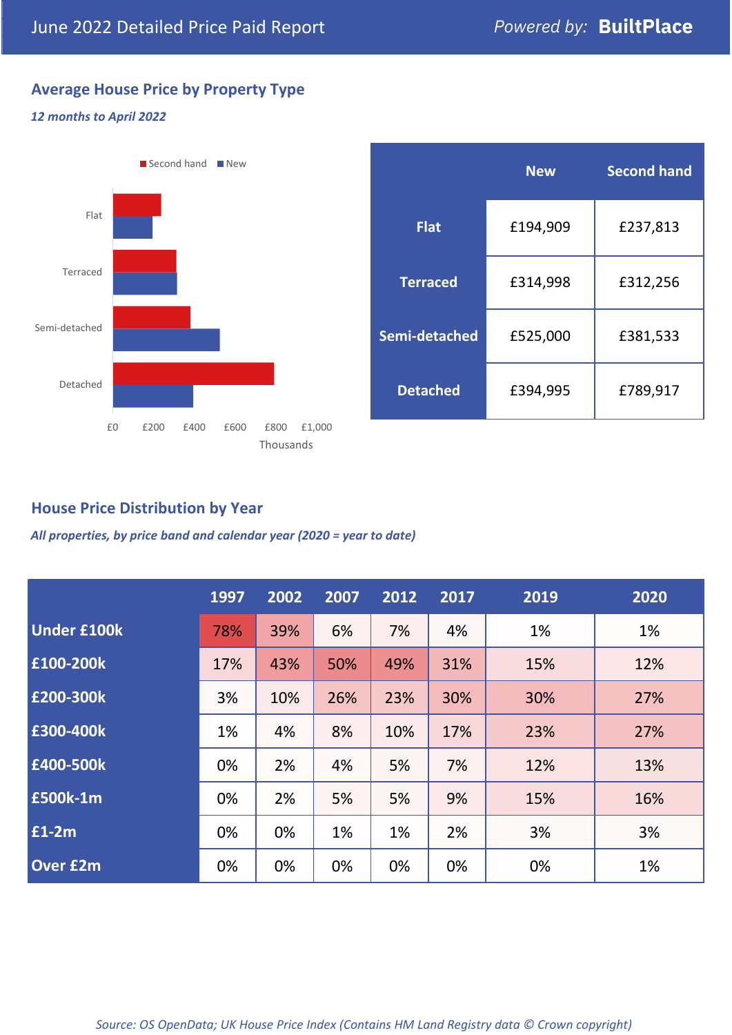# **Average House Price by Property Type**

### *12 months to April 2022*



|                 | <b>New</b> | <b>Second hand</b> |  |  |
|-----------------|------------|--------------------|--|--|
| <b>Flat</b>     | £194,909   | £237,813           |  |  |
| <b>Terraced</b> | £314,998   | £312,256           |  |  |
| Semi-detached   | £525,000   | £381,533           |  |  |
| <b>Detached</b> | £394,995   | £789,917           |  |  |

# **House Price Distribution by Year**

*All properties, by price band and calendar year (2020 = year to date)*

|                    | 1997 | 2002 | 2007 | 2012 | 2017 | 2019 | 2020 |
|--------------------|------|------|------|------|------|------|------|
| <b>Under £100k</b> | 78%  | 39%  | 6%   | 7%   | 4%   | 1%   | 1%   |
| £100-200k          | 17%  | 43%  | 50%  | 49%  | 31%  | 15%  | 12%  |
| E200-300k          | 3%   | 10%  | 26%  | 23%  | 30%  | 30%  | 27%  |
| £300-400k          | 1%   | 4%   | 8%   | 10%  | 17%  | 23%  | 27%  |
| £400-500k          | 0%   | 2%   | 4%   | 5%   | 7%   | 12%  | 13%  |
| <b>£500k-1m</b>    | 0%   | 2%   | 5%   | 5%   | 9%   | 15%  | 16%  |
| £1-2m              | 0%   | 0%   | 1%   | 1%   | 2%   | 3%   | 3%   |
| <b>Over £2m</b>    | 0%   | 0%   | 0%   | 0%   | 0%   | 0%   | 1%   |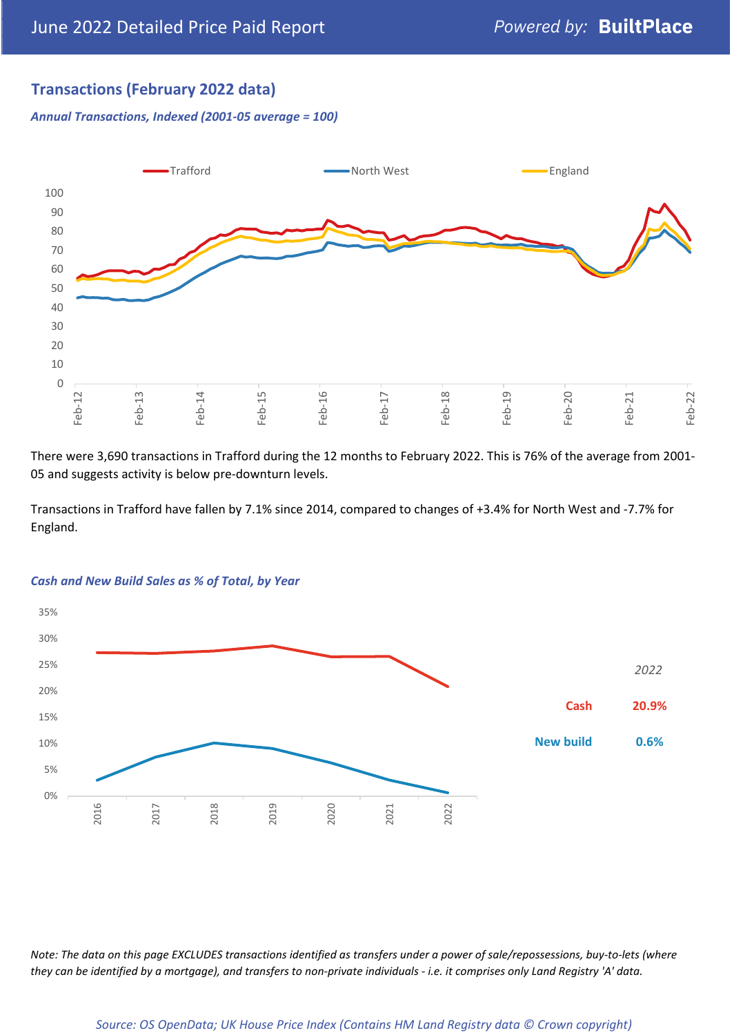# **Transactions (February 2022 data)**

*Annual Transactions, Indexed (2001-05 average = 100)*



There were 3,690 transactions in Trafford during the 12 months to February 2022. This is 76% of the average from 2001- 05 and suggests activity is below pre-downturn levels.

Transactions in Trafford have fallen by 7.1% since 2014, compared to changes of +3.4% for North West and -7.7% for England.



#### *Cash and New Build Sales as % of Total, by Year*

*Note: The data on this page EXCLUDES transactions identified as transfers under a power of sale/repossessions, buy-to-lets (where they can be identified by a mortgage), and transfers to non-private individuals - i.e. it comprises only Land Registry 'A' data.*